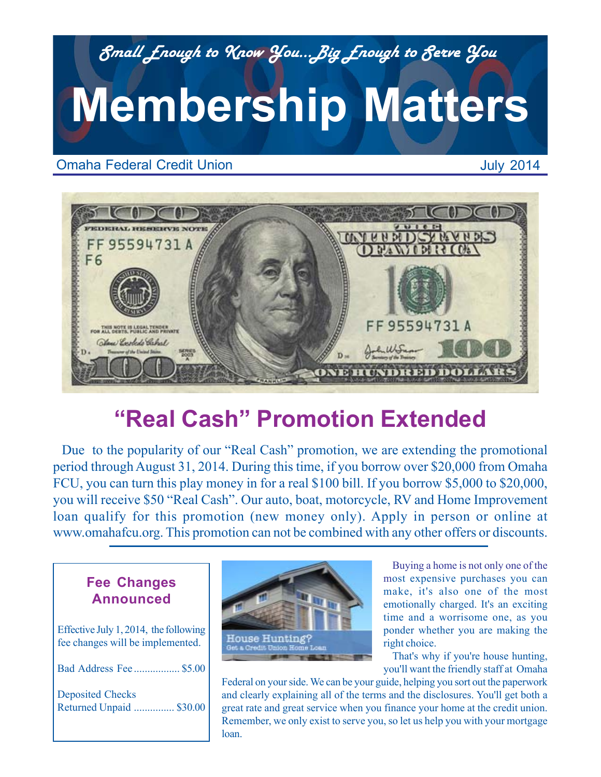

Omaha Federal Credit Union

July 2014



# **"Real Cash" Promotion Extended**

Due to the popularity of our "Real Cash" promotion, we are extending the promotional period through August 31, 2014. During this time, if you borrow over \$20,000 from Omaha FCU, you can turn this play money in for a real \$100 bill. If you borrow \$5,000 to \$20,000, you will receive \$50 "Real Cash". Our auto, boat, motorcycle, RV and Home Improvement loan qualify for this promotion (new money only). Apply in person or online at www.omahafcu.org. This promotion can not be combined with any other offers or discounts.

### **Fee Changes Announced**

Effective July 1, 2014, the following fee changes will be implemented. Bad Address Fee ................. \$5.00

Deposited Checks

Returned Unpaid ............... \$30.00



Buying a home is not only one of the most expensive purchases you can make, it's also one of the most emotionally charged. It's an exciting time and a worrisome one, as you ponder whether you are making the right choice.

That's why if you're house hunting, you'll want the friendly staff at Omaha

Federal on your side. We can be your guide, helping you sort out the paperwork and clearly explaining all of the terms and the disclosures. You'll get both a great rate and great service when you finance your home at the credit union. Remember, we only exist to serve you, so let us help you with your mortgage loan.